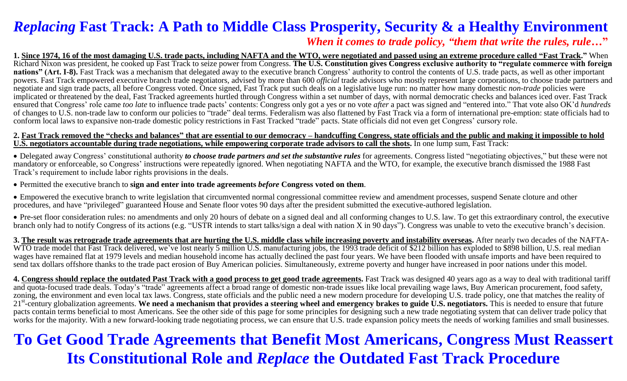### *Replacing* **Fast Track: A Path to Middle Class Prosperity, Security & a Healthy Environment**  *When it comes to trade policy, "them that write the rules, rule***…"**

**1. Since 1974, 16 of the most damaging U.S. trade pacts, including NAFTA and the WTO, were negotiated and passed using an extreme procedure called "Fast Track."** When Richard Nixon was president, he cooked up Fast Track to seize power from Congress. **The U.S. Constitution gives Congress exclusive authority to "regulate commerce with foreign nations" (Art. I-8).** Fast Track was a mechanism that delegated away to the executive branch Congress' authority to control the contents of U.S. trade pacts, as well as other important powers. Fast Track empowered executive branch trade negotiators, advised by more than 600 *official* trade advisors who mostly represent large corporations, to choose trade partners and negotiate and sign trade pacts, all before Congress voted. Once signed, Fast Track put such deals on a legislative luge run: no matter how many domestic *non-trade* policies were implicated or threatened by the deal, Fast Tracked agreements hurtled through Congress within a set number of days, with normal democratic checks and balances iced over. Fast Track ensured that Congress' role came *too late* to influence trade pacts' contents: Congress only got a yes or no vote *after* a pact was signed and "entered into." That vote also OK'd *hundreds* of changes to U.S. non-trade law to conform our policies to "trade" deal terms. Federalism was also flattened by Fast Track via a form of international pre-emption: state officials had to conform local laws to expansive non-trade domestic policy restrictions in Fast Tracked "trade" pacts. State officials did not even get Congress' cursory role.

#### **2. Fast Track removed the "checks and balances" that are essential to our democracy – handcuffing Congress, state officials and the public and making it impossible to hold U.S. negotiators accountable during trade negotiations, while empowering corporate trade advisors to call the shots.** In one lump sum, Fast Track:

 Delegated away Congress' constitutional authority *to choose trade partners and set the substantive rules* for agreements. Congress listed "negotiating objectives," but these were not mandatory or enforceable, so Congress' instructions were repeatedly ignored. When negotiating NAFTA and the WTO, for example, the executive branch dismissed the 1988 Fast Track's requirement to include labor rights provisions in the deals.

Permitted the executive branch to **sign and enter into trade agreements** *before* **Congress voted on them**.

 Empowered the executive branch to write legislation that circumvented normal congressional committee review and amendment processes, suspend Senate cloture and other procedures, and have "privileged" guaranteed House and Senate floor votes 90 days after the president submitted the executive-authored legislation.

• Pre-set floor consideration rules: no amendments and only 20 hours of debate on a signed deal and all conforming changes to U.S. law. To get this extraordinary control, the executive branch only had to notify Congress of its actions (e.g. "USTR intends to start talks/sign a deal with nation X in 90 days"). Congress was unable to veto the executive branch's decision.

**3. The result was retrograde trade agreements that are hurting the U.S. middle class while increasing poverty and instability overseas.** After nearly two decades of the NAFTA-WTO trade model that Fast Track delivered, we've lost nearly 5 million U.S. manufacturing jobs, the 1993 trade deficit of \$212 billion has exploded to \$898 billion, U.S. real median wages have remained flat at 1979 levels and median household income has actually declined the past four years. We have been flooded with unsafe imports and have been required to send tax dollars offshore thanks to the trade pact erosion of Buy American policies. Simultaneously, extreme poverty and hunger have increased in poor nations under this model.

**4. Congress should replace the outdated Past Track with a good process to get good trade agreements.** Fast Track was designed 40 years ago as a way to deal with traditional tariff and quota-focused trade deals. Today's "trade" agreements affect a broad range of domestic non-trade issues like local prevailing wage laws, Buy American procurement, food safety, zoning, the environment and even local tax laws. Congress, state officials and the public need a new modern procedure for developing U.S. trade policy, one that matches the reality of 21st -century globalization agreements. **We need a mechanism that provides a steering wheel and emergency brakes to guide U.S. negotiators.** This is needed to ensure that future pacts contain terms beneficial to most Americans. See the other side of this page for some principles for designing such a new trade negotiating system that can deliver trade policy that works for the majority. With a new forward-looking trade negotiating process, we can ensure that U.S. trade expansion policy meets the needs of working families and small businesses.

# **To Get Good Trade Agreements that Benefit Most Americans, Congress Must Reassert Its Constitutional Role and** *Replace* **the Outdated Fast Track Procedure**